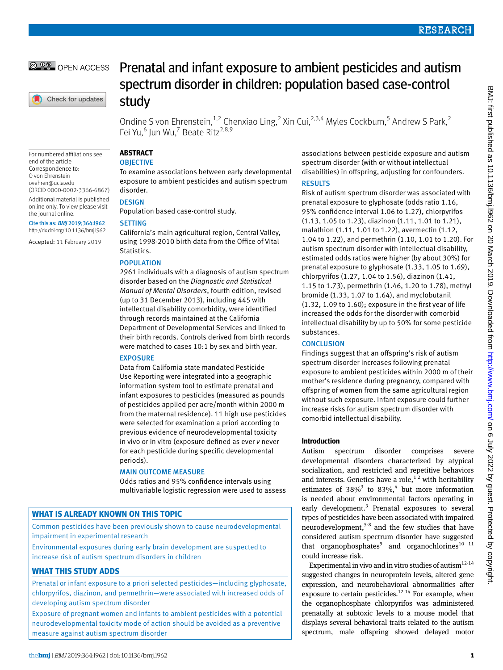**@ 00 OPEN ACCESS** 

Check for updates

# Prenatal and infant exposure to ambient pesticides and autism spectrum disorder in children: population based case-control study

Ondine S von Ehrenstein,<sup>1,2</sup> Chenxiao Ling,<sup>2</sup> Xin Cui,<sup>2,3,4</sup> Myles Cockburn,<sup>5</sup> Andrew S Park,<sup>2</sup> Fei Yu,<sup>6</sup> Jun Wu,<sup>7</sup> Beate Ritz<sup>2,8,9</sup>

For numbered affiliations see end of the article Correspondence to: O von Ehrenstein [ovehren@ucla.edu](mailto:ovehren@ucla.edu) (ORCID [0000-0002-3366-6867\)](http://orcid.org/0000-0002-3366-6867) Additional material is published online only. To view please visit the journal online. Cite this as: *BMJ* 2019;364:l962

[http://dx.doi.org/10.1136/bmj.l](https://orcid.org/0000-0001-9651-7829)962

Accepted: 11 February 2019

#### **ABSTRACT OBJECTIVE**

To examine associations between early developmental exposure to ambient pesticides and autism spectrum disorder.

## **DESIGN**

Population based case-control study.

## **SETTING**

California's main agricultural region, Central Valley, using 1998-2010 birth data from the Office of Vital Statistics.

## POPULATION

2961 individuals with a diagnosis of autism spectrum disorder based on the *Diagnostic and Statistical Manual of Mental Disorders*, fourth edition, revised (up to 31 December 2013), including 445 with intellectual disability comorbidity, were identified through records maintained at the California Department of Developmental Services and linked to their birth records. Controls derived from birth records were matched to cases 10:1 by sex and birth year.

## EXPOSURE

Data from California state mandated Pesticide Use Reporting were integrated into a geographic information system tool to estimate prenatal and infant exposures to pesticides (measured as pounds of pesticides applied per acre/month within 2000 m from the maternal residence). 11 high use pesticides were selected for examination a priori according to previous evidence of neurodevelopmental toxicity in vivo or in vitro (exposure defined as ever *v* never for each pesticide during specific developmental periods).

## MAIN OUTCOME MEASURE

Odds ratios and 95% confidence intervals using multivariable logistic regression were used to assess

# **WHAT IS ALREADY KNOWN ON THIS TOPIC**

Common pesticides have been previously shown to cause neurodevelopmental impairment in experimental research

Environmental exposures during early brain development are suspected to increase risk of autism spectrum disorders in children

# **WHAT THIS STUDY ADDS**

Prenatal or infant exposure to a priori selected pesticides—including glyphosate, chlorpyrifos, diazinon, and permethrin—were associated with increased odds of developing autism spectrum disorder

Exposure of pregnant women and infants to ambient pesticides with a potential neurodevelopmental toxicity mode of action should be avoided as a preventive measure against autism spectrum disorder

associations between pesticide exposure and autism spectrum disorder (with or without intellectual disabilities) in offspring, adjusting for confounders. RESULTS

Risk of autism spectrum disorder was associated with prenatal exposure to glyphosate (odds ratio 1.16, 95% confidence interval 1.06 to 1.27), chlorpyrifos (1.13, 1.05 to 1.23), diazinon (1.11, 1.01 to 1.21), malathion (1.11, 1.01 to 1.22), avermectin (1.12, 1.04 to 1.22), and permethrin (1.10, 1.01 to 1.20). For autism spectrum disorder with intellectual disability, estimated odds ratios were higher (by about 30%) for prenatal exposure to glyphosate (1.33, 1.05 to 1.69), chlorpyrifos (1.27, 1.04 to 1.56), diazinon (1.41, 1.15 to 1.73), permethrin (1.46, 1.20 to 1.78), methyl bromide (1.33, 1.07 to 1.64), and myclobutanil (1.32, 1.09 to 1.60); exposure in the first year of life increased the odds for the disorder with comorbid intellectual disability by up to 50% for some pesticide substances.

## **CONCLUSION**

Findings suggest that an offspring's risk of autism spectrum disorder increases following prenatal exposure to ambient pesticides within 2000 m of their mother's residence during pregnancy, compared with offspring of women from the same agricultural region without such exposure. Infant exposure could further increase risks for autism spectrum disorder with comorbid intellectual disability.

## **Introduction**

Autism spectrum disorder comprises severe developmental disorders characterized by atypical socialization, and restricted and repetitive behaviors and interests. Genetics have a role, $1/2$  with heritability estimates of  $38\%$ <sup>3</sup> to  $83\%$ <sup>4</sup> but more information is needed about environmental factors operating in early development.<sup>3</sup> Prenatal exposures to several types of pesticides have been associated with impaired neurodevelopment,<sup>5-8</sup> and the few studies that have considered autism spectrum disorder have suggested that organophosphates<sup>9</sup> and organochlorines<sup>10</sup><sup>11</sup> could increase risk.

Experimental in vivo and in vitro studies of autism $12-14$ suggested changes in neuroprotein levels, altered gene expression, and neurobehavioral abnormalities after exposure to certain pesticides.<sup>12 14</sup> For example, when the organophosphate chlorpyrifos was administered prenatally at subtoxic levels to a mouse model that displays several behavioral traits related to the autism spectrum, male offspring showed delayed motor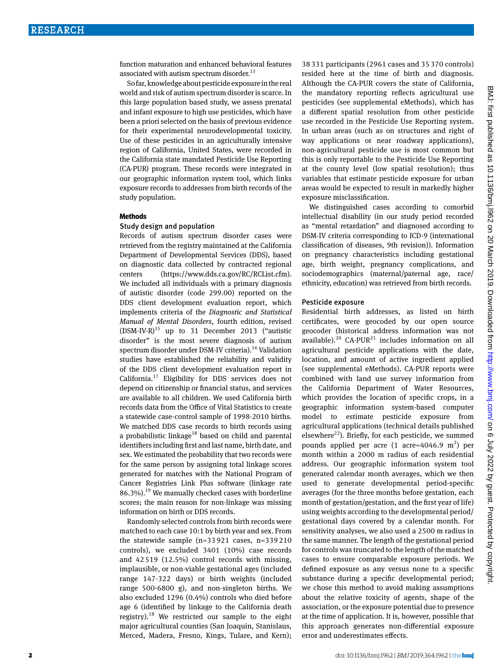function maturation and enhanced behavioral features associated with autism spectrum disorder.<sup>13</sup>

So far, knowledge about pesticide exposure in the real world and risk of autism spectrum disorder is scarce. In this large population based study, we assess prenatal and infant exposure to high use pesticides, which have been a priori selected on the basis of previous evidence for their experimental neurodevelopmental toxicity. Use of these pesticides in an agriculturally intensive region of California, United States, were recorded in the California state mandated Pesticide Use Reporting (CA-PUR) program. These records were integrated in our geographic information system tool, which links exposure records to addresses from birth records of the study population.

#### **Methods**

#### Study design and population

Records of autism spectrum disorder cases were retrieved from the registry maintained at the California Department of Developmental Services (DDS), based on diagnostic data collected by contracted regional centers [\(https://www.dds.ca.gov/RC/RCList.cfm](https://www.dds.ca.gov/RC/RCList.cfm)). We included all individuals with a primary diagnosis of autistic disorder (code 299.00) reported on the DDS client development evaluation report, which implements criteria of the *Diagnostic and Statistical Manual of Mental Disorders*, fourth edition, revised  $(DSM-IV-R)^{15}$  up to 31 December 2013 ("autistic disorder" is the most severe diagnosis of autism spectrum disorder under DSM-IV criteria).<sup>16</sup> Validation studies have established the reliability and validity of the DDS client development evaluation report in California.17 Eligibility for DDS services does not depend on citizenship or financial status, and services are available to all children. We used California birth records data from the Office of Vital Statistics to create a statewide case-control sample of 1998-2010 births. We matched DDS case records to birth records using a probabilistic linkage<sup>18</sup> based on child and parental identifiers including first and last name, birth date, and sex. We estimated the probability that two records were for the same person by assigning total linkage scores generated for matches with the National Program of Cancer Registries Link Plus software (linkage rate  $86.3\%$ ).<sup>19</sup> We manually checked cases with borderline scores; the main reason for non-linkage was missing information on birth or DDS records.

Randomly selected controls from birth records were matched to each case 10:1 by birth year and sex. From the statewide sample (n=33 921 cases, n=339 210 controls), we excluded 3401 (10%) case records and 42 519 (12.5%) control records with missing, implausible, or non-viable gestational ages (included range 147-322 days) or birth weights (included range 500-6800 g), and non-singleton births. We also excluded 1296 (0.4%) controls who died before age 6 (identified by linkage to the California death registry).18 We restricted our sample to the eight major agricultural counties (San Joaquin, Stanislaus, Merced, Madera, Fresno, Kings, Tulare, and Kern); 38 331 participants (2961 cases and 35 370 controls) resided here at the time of birth and diagnosis. Although the CA-PUR covers the state of California, the mandatory reporting reflects agricultural use pesticides (see supplemental eMethods), which has a different spatial resolution from other pesticide use recorded in the Pesticide Use Reporting system. In urban areas (such as on structures and right of way applications or near roadway applications), non-agricultural pesticide use is most common but this is only reportable to the Pesticide Use Reporting at the county level (low spatial resolution); thus variables that estimate pesticide exposure for urban areas would be expected to result in markedly higher exposure misclassification.

We distinguished cases according to comorbid intellectual disability (in our study period recorded as "mental retardation" and diagnosed according to DSM-IV criteria corresponding to ICD-9 (international classification of diseases, 9th revision)). Information on pregnancy characteristics including gestational age, birth weight, pregnancy complications, and sociodemographics (maternal/paternal age, race/ ethnicity, education) was retrieved from birth records.

#### Pesticide exposure

Residential birth addresses, as listed on birth certificates, were geocoded by our open source geocoder (historical address information was not available).<sup>20</sup> CA-PUR<sup>21</sup> includes information on all agricultural pesticide applications with the date, location, and amount of active ingredient applied (see supplemental eMethods). CA-PUR reports were combined with land use survey information from the California Department of Water Resources, which provides the location of specific crops, in a geographic information system-based computer model to estimate pesticide exposure from agricultural applications (technical details published elsewhere<sup>22</sup>). Briefly, for each pesticide, we summed pounds applied per acre  $(1 \text{ acre} = 4046.9 \text{ m}^2)$  per month within a 2000 m radius of each residential address. Our geographic information system tool generated calendar month averages, which we then used to generate developmental period-specific averages (for the three months before gestation, each month of gestation/gestation, and the first year of life) using weights according to the developmental period/ gestational days covered by a calendar month. For sensitivity analyses, we also used a 2500 m radius in the same manner. The length of the gestational period for controls was truncated to the length of the matched cases to ensure comparable exposure periods. We defined exposure as any versus none to a specific substance during a specific developmental period; we chose this method to avoid making assumptions about the relative toxicity of agents, shape of the association, or the exposure potential due to presence at the time of application. It is, however, possible that this approach generates non-differential exposure error and underestimates effects.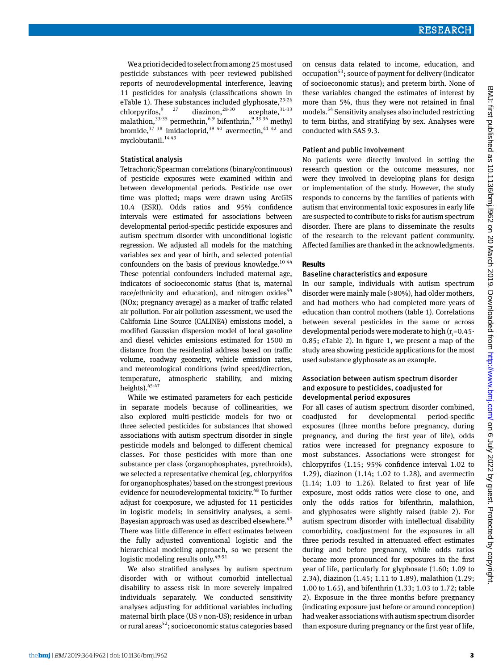We a priori decided to select from among 25 most used pesticide substances with peer reviewed published reports of neurodevelopmental interference, leaving 11 pesticides for analysis (classifications shown in eTable 1). These substances included glyphosate, $^{23\cdot26}$ chlorpyrifos,  $9^{27}$  diazinon,  $28-30$  acephate,  $31-33$ malathion, $33-35$  permethrin,  $69$  bifenthrin,  $9^{33}$  36 methyl bromide,  $37 \frac{38}{10}$  imidacloprid,  $39 \frac{40}{10}$  avermectin,  $41 \frac{42}{10}$  and myclobutanil.<sup>1443</sup>

#### Statistical analysis

Tetrachoric/Spearman correlations (binary/continuous) of pesticide exposures were examined within and between developmental periods. Pesticide use over time was plotted; maps were drawn using ArcGIS 10.4 (ESRI). Odds ratios and 95% confidence intervals were estimated for associations between developmental period-specific pesticide exposures and autism spectrum disorder with unconditional logistic regression. We adjusted all models for the matching variables sex and year of birth, and selected potential confounders on the basis of previous knowledge. $^{10\,44}$ These potential confounders included maternal age, indicators of socioeconomic status (that is, maternal race/ethnicity and education), and nitrogen oxides $44$ (NOx; pregnancy average) as a marker of traffic related air pollution. For air pollution assessment, we used the California Line Source (CALINE4) emissions model, a modified Gaussian dispersion model of local gasoline and diesel vehicles emissions estimated for 1500 m distance from the residential address based on traffic volume, roadway geometry, vehicle emission rates, and meteorological conditions (wind speed/direction, temperature, atmospheric stability, and mixing heights).  $45-47$ 

While we estimated parameters for each pesticide in separate models because of collinearities, we also explored multi-pesticide models for two or three selected pesticides for substances that showed associations with autism spectrum disorder in single pesticide models and belonged to different chemical classes. For those pesticides with more than one substance per class (organophosphates, pyrethroids), we selected a representative chemical (eg, chlorpyrifos for organophosphates) based on the strongest previous evidence for neurodevelopmental toxicity.<sup>48</sup> To further adjust for coexposure, we adjusted for 11 pesticides in logistic models; in sensitivity analyses, a semi-Bayesian approach was used as described elsewhere.<sup>49</sup> There was little difference in effect estimates between the fully adjusted conventional logistic and the hierarchical modeling approach, so we present the logistic modeling results only.<sup>49-51</sup>

We also stratified analyses by autism spectrum disorder with or without comorbid intellectual disability to assess risk in more severely impaired individuals separately. We conducted sensitivity analyses adjusting for additional variables including maternal birth place (US *v* non-US); residence in urban or rural areas<sup>52</sup>; socioeconomic status categories based

on census data related to income, education, and occupation<sup>53</sup>; source of payment for delivery (indicator of socioeconomic status); and preterm birth. None of these variables changed the estimates of interest by more than 5%, thus they were not retained in final models.54 Sensitivity analyses also included restricting to term births, and stratifying by sex. Analyses were conducted with SAS 9.3.

#### Patient and public involvement

No patients were directly involved in setting the research question or the outcome measures, nor were they involved in developing plans for design or implementation of the study. However, the study responds to concerns by the families of patients with autism that environmental toxic exposures in early life are suspected to contribute to risks for autism spectrum disorder. There are plans to disseminate the results of the research to the relevant patient community. Affected families are thanked in the acknowledgments.

## **Results**

#### Baseline characteristics and exposure

In our sample, individuals with autism spectrum disorder were mainly male (>80%), had older mothers, and had mothers who had completed more years of education than control mothers (table 1). Correlations between several pesticides in the same or across developmental periods were moderate to high ( $r_{\rm t}$ =0.45-0.85; eTable 2). In figure 1, we present a map of the study area showing pesticide applications for the most used substance glyphosate as an example.

#### Association between autism spectrum disorder and exposure to pesticides, coadjusted for developmental period exposures

For all cases of autism spectrum disorder combined, coadjusted for developmental period-specific exposures (three months before pregnancy, during pregnancy, and during the first year of life), odds ratios were increased for pregnancy exposure to most substances. Associations were strongest for chlorpyrifos (1.15; 95% confidence interval 1.02 to 1.29), diazinon (1.14; 1.02 to 1.28), and avermectin (1.14; 1.03 to 1.26). Related to first year of life exposure, most odds ratios were close to one, and only the odds ratios for bifenthrin, malathion, and glyphosates were slightly raised (table 2). For autism spectrum disorder with intellectual disability comorbidity, coadjustment for the exposures in all three periods resulted in attenuated effect estimates during and before pregnancy, while odds ratios became more pronounced for exposures in the first year of life, particularly for glyphosate (1.60; 1.09 to 2.34), diazinon (1.45; 1.11 to 1.89), malathion (1.29; 1.00 to 1.65), and bifenthrin (1.33; 1.03 to 1.72; table 2). Exposure in the three months before pregnancy (indicating exposure just before or around conception) had weaker associations with autism spectrum disorder than exposure during pregnancy or the first year of life,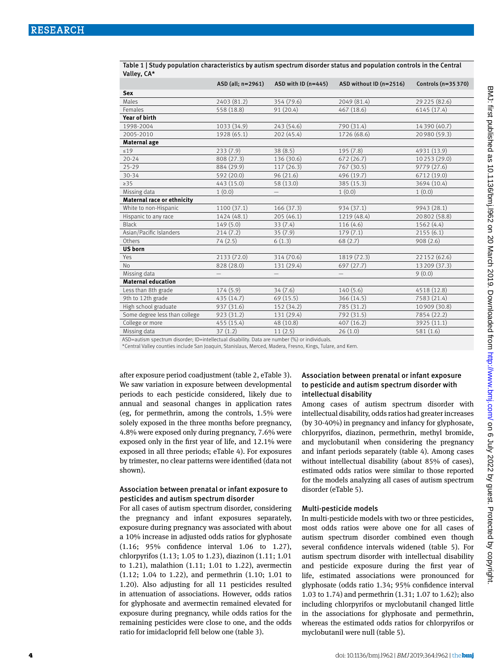| vancy, ch                     |                   |                       |                         |                     |
|-------------------------------|-------------------|-----------------------|-------------------------|---------------------|
|                               | ASD (all; n=2961) | ASD with ID $(n=445)$ | ASD without ID (n=2516) | Controls (n=35 370) |
| Sex                           |                   |                       |                         |                     |
| Males                         | 2403 (81.2)       | 354 (79.6)            | 2049 (81.4)             | 29 225 (82.6)       |
| Females                       | 558 (18.8)        | 91 (20.4)             | 467 (18.6)              | 6145 (17.4)         |
| Year of birth                 |                   |                       |                         |                     |
| 1998-2004                     | 1033 (34.9)       | 243 (54.6)            | 790 (31.4)              | 14 390 (40.7)       |
| 2005-2010                     | 1928 (65.1)       | 202 (45.4)            | 1726 (68.6)             | 20 980 (59.3)       |
| Maternal age                  |                   |                       |                         |                     |
| $\leq 19$                     | 233(7.9)          | 38(8.5)               | 195 (7.8)               | 4931 (13.9)         |
| $20 - 24$                     | 808 (27.3)        | 136 (30.6)            | 672(26.7)               | 10 253 (29.0)       |
| $25 - 29$                     | 884 (29.9)        | 117(26.3)             | 767 (30.5)              | 9779 (27.6)         |
| $30 - 34$                     | 592 (20.0)        | 96 (21.6)             | 496 (19.7)              | 6712 (19.0)         |
| $\geq$ 35                     | 443 (15.0)        | 58 (13.0)             | 385 (15.3)              | 3694 (10.4)         |
| Missing data                  | 1(0.0)            |                       | 1(0.0)                  | 1(0.0)              |
| Maternal race or ethnicity    |                   |                       |                         |                     |
| White to non-Hispanic         | 1100 (37.1)       | 166 (37.3)            | 934 (37.1)              | 9943 (28.1)         |
| Hispanic to any race          | 1424 (48.1)       | 205 (46.1)            | 1219 (48.4)             | 20802 (58.8)        |
| <b>Black</b>                  | 149(5.0)          | 33(7.4)               | 116(4.6)                | 1562 (4.4)          |
| Asian/Pacific Islanders       | 214(7.2)          | 35(7.9)               | 179(7.1)                | 2155(6.1)           |
| Others                        | 74(2.5)           | 6(1.3)                | 68(2.7)                 | 908(2.6)            |
| <b>US</b> born                |                   |                       |                         |                     |
| Yes                           | 2133 (72.0)       | 314 (70.6)            | 1819 (72.3)             | 22 152 (62.6)       |
| N <sub>o</sub>                | 828 (28.0)        | 131 (29.4)            | 697 (27.7)              | 13 209 (37.3)       |
| Missing data                  |                   |                       | $\qquad \qquad -$       | 9(0.0)              |
| <b>Maternal education</b>     |                   |                       |                         |                     |
| Less than 8th grade           | 174(5.9)          | 34(7.6)               | 140(5.6)                | 4518 (12.8)         |
| 9th to 12th grade             | 435 (14.7)        | 69 (15.5)             | 366 (14.5)              | 7583 (21.4)         |
| High school graduate          | 937 (31.6)        | 152 (34.2)            | 785 (31.2)              | 10 909 (30.8)       |
| Some degree less than college | 923 (31.2)        | 131 (29.4)            | 792 (31.5)              | 7854 (22.2)         |
| College or more               | 455 (15.4)        | 48 (10.8)             | 407 (16.2)              | 3925 (11.1)         |
| Missing data                  | 37(1.2)           | 11(2.5)               | 26(1.0)                 | 581(1.6)            |

Table 1 | Study population characteristics by autism spectrum disorder status and population controls in the Central Valley, CA\*

ASD=autism spectrum disorder; ID=intellectual disability. Data are number (%) or individuals.

\*Central Valley counties include San Joaquin, Stanislaus, Merced, Madera, Fresno, Kings, Tulare, and Kern.

after exposure period coadjustment (table 2, eTable 3). We saw variation in exposure between developmental periods to each pesticide considered, likely due to annual and seasonal changes in application rates (eg, for permethrin, among the controls, 1.5% were solely exposed in the three months before pregnancy, 4.8% were exposed only during pregnancy, 7.6% were exposed only in the first year of life, and 12.1% were exposed in all three periods; eTable 4). For exposures by trimester, no clear patterns were identified (data not shown).

## Association between prenatal or infant exposure to pesticides and autism spectrum disorder

For all cases of autism spectrum disorder, considering the pregnancy and infant exposures separately, exposure during pregnancy was associated with about a 10% increase in adjusted odds ratios for glyphosate (1.16; 95% confidence interval 1.06 to 1.27), chlorpyrifos (1.13; 1.05 to 1.23), diazinon (1.11; 1.01 to 1.21), malathion (1.11; 1.01 to 1.22), avermectin (1.12; 1.04 to 1.22), and permethrin (1.10; 1.01 to 1.20). Also adjusting for all 11 pesticides resulted in attenuation of associations. However, odds ratios for glyphosate and avermectin remained elevated for exposure during pregnancy, while odds ratios for the remaining pesticides were close to one, and the odds ratio for imidacloprid fell below one (table 3).

## Association between prenatal or infant exposure to pesticide and autism spectrum disorder with intellectual disability

Among cases of autism spectrum disorder with intellectual disability, odds ratios had greater increases (by 30-40%) in pregnancy and infancy for glyphosate, chlorpyrifos, diazinon, permethrin, methyl bromide, and myclobutanil when considering the pregnancy and infant periods separately (table 4). Among cases without intellectual disability (about 85% of cases), estimated odds ratios were similar to those reported for the models analyzing all cases of autism spectrum disorder (eTable 5).

## Multi-pesticide models

In multi-pesticide models with two or three pesticides, most odds ratios were above one for all cases of autism spectrum disorder combined even though several confidence intervals widened (table 5). For autism spectrum disorder with intellectual disability and pesticide exposure during the first year of life, estimated associations were pronounced for glyphosate (odds ratio 1.34; 95% confidence interval 1.03 to 1.74) and permethrin (1.31; 1.07 to 1.62); also including chlorpyrifos or myclobutanil changed little in the associations for glyphosate and permethrin, whereas the estimated odds ratios for chlorpyrifos or myclobutanil were null (table 5).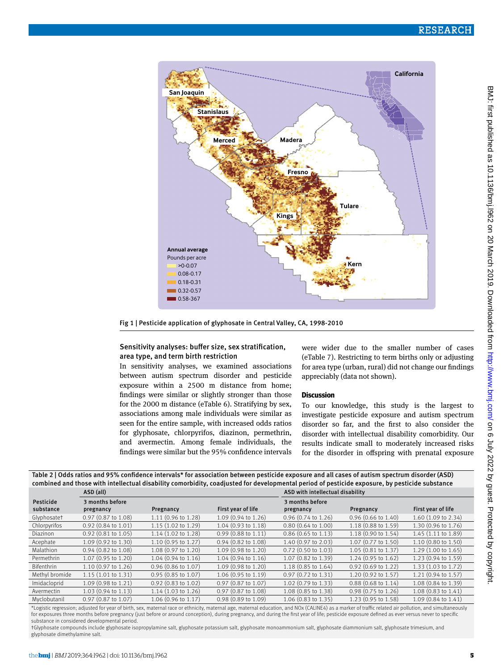

Fig 1 | Pesticide application of glyphosate in Central Valley, CA, 1998-2010

#### Sensitivity analyses: buffer size, sex stratification, area type, and term birth restriction

In sensitivity analyses, we examined associations between autism spectrum disorder and pesticide exposure within a 2500 m distance from home; findings were similar or slightly stronger than those for the 2000 m distance (eTable 6). Stratifying by sex, associations among male individuals were similar as seen for the entire sample, with increased odds ratios for glyphosate, chlorpyrifos, diazinon, permethrin, and avermectin. Among female individuals, the findings were similar but the 95% confidence intervals

were wider due to the smaller number of cases (eTable 7). Restricting to term births only or adjusting for area type (urban, rural) did not change our findings appreciably (data not shown).

## **Discussion**

To our knowledge, this study is the largest to investigate pesticide exposure and autism spectrum disorder so far, and the first to also consider the disorder with intellectual disability comorbidity. Our results indicate small to moderately increased risks for the disorder in offspring with prenatal exposure

| Table 2   Odds ratios and 95% confidence intervals* for association between pesticide exposure and all cases of autism spectrum disorder (ASD) |
|------------------------------------------------------------------------------------------------------------------------------------------------|
|                                                                                                                                                |
|                                                                                                                                                |
| combined and those with intellectual disability comorbidity, coadjusted for developmental period of pesticide exposure, by pesticide substance |
|                                                                                                                                                |
|                                                                                                                                                |

|                   | ASD (all)                     |                               |                           | ASD with intellectual disability |                               |                     |  |
|-------------------|-------------------------------|-------------------------------|---------------------------|----------------------------------|-------------------------------|---------------------|--|
| Pesticide         | 3 months before               |                               |                           | 3 months before                  |                               |                     |  |
| substance         | pregnancy                     | Pregnancy                     | First year of life        | pregnancy                        | Pregnancy                     | First year of life  |  |
| Glyphosatet       | $0.97$ (0.87 to 1.08)         | 1.11 (0.96 to 1.28)           | 1.09 (0.94 to 1.26)       | $0.96$ (0.74 to 1.26)            | $0.96$ (0.66 to 1.40)         | 1.60 (1.09 to 2.34) |  |
| Chlorpyrifos      | $0.92$ (0.84 to 1.01)         | $1.15(1.02 \text{ to } 1.29)$ | 1.04 (0.93 to 1.18)       | $0.80(0.64 \text{ to } 1.00)$    | $1.18(0.88 \text{ to } 1.59)$ | 1.30 (0.96 to 1.76) |  |
| Diazinon          | $0.92$ (0.81 to 1.05)         | 1.14 (1.02 to 1.28)           | $0.99$ (0.88 to 1.11)     | $0.86$ (0.65 to 1.13)            | $1.18(0.90 \text{ to } 1.54)$ | 1.45 (1.11 to 1.89) |  |
| Acephate          | $1.09(0.92 \text{ to } 1.30)$ | 1.10 (0.95 to 1.27)           | $0.94$ $(0.82$ to $1.08)$ | 1.40 (0.97 to 2.03)              | 1.07 (0.77 to 1.50)           | 1.10 (0.80 to 1.50) |  |
| Malathion         | $0.94$ (0.82 to 1.08)         | 1.08 (0.97 to 1.20)           | 1.09 (0.98 to 1.20)       | $0.72$ (0.50 to 1.03)            | $1.05(0.81 \text{ to } 1.37)$ | 1.29(1.00 to 1.65)  |  |
| Permethrin        | 1.07 (0.95 to 1.20)           | $1.04(0.94 \text{ to } 1.16)$ | 1.04 (0.94 to 1.16)       | 1.07 (0.82 to 1.39)              | $1.24(0.95 \text{ to } 1.62)$ | 1.23 (0.94 to 1.59) |  |
| <b>Bifenthrin</b> | 1.10 (0.97 to 1.26)           | $0.96$ (0.86 to 1.07)         | 1.09 (0.98 to 1.20)       | 1.18 (0.85 to 1.64)              | $0.92(0.69 \text{ to } 1.22)$ | 1.33 (1.03 to 1.72) |  |
| Methyl bromide    | 1.15(1.01 to 1.31)            | $0.95(0.85 \text{ to } 1.07)$ | 1.06 (0.95 to 1.19)       | $0.97$ $(0.72$ to $1.31)$        | $1.20(0.92 \text{ to } 1.57)$ | 1.21 (0.94 to 1.57) |  |
| Imidacloprid      | $1.09(0.98 \text{ to } 1.21)$ | $0.92$ (0.83 to 1.02)         | $0.97$ (0.87 to 1.07)     | $1.02$ (0.79 to 1.33)            | $0.88(0.68 \text{ to } 1.14)$ | 1.08 (0.84 to 1.39) |  |
| Avermectin        | $1.03(0.94 \text{ to } 1.13)$ | $1.14(1.03 \text{ to } 1.26)$ | 0.97 (0.87 to 1.08)       | 1.08 (0.85 to 1.38)              | $0.98(0.75 \text{ to } 1.26)$ | 1.08 (0.83 to 1.41) |  |
| Myclobutanil      | $0.97$ (0.87 to 1.07)         | 1.06 (0.96 to 1.17)           | 0.98 (0.89 to 1.09)       | $1.06$ (0.83 to 1.35)            | 1.23 (0.95 to 1.58)           | 1.09 (0.84 to 1.41) |  |

\*Logistic regression; adjusted for year of birth, sex, maternal race or ethnicity, maternal age, maternal education, and NOx (CALINE4) as a marker of traffic related air pollution, and simultaneously for exposures three months before pregnancy (just before or around conception), during pregnancy, and during the first year of life; pesticide exposure defined as ever versus never to specific substance in considered developmental period.

†Glyphosate compounds include glyphosate isopropylamine salt, glyphosate potassium salt, glyphosate monoammonium salt, glyphosate diammonium salt, glyphosate trimesium, and glyphosate dimethylamine salt.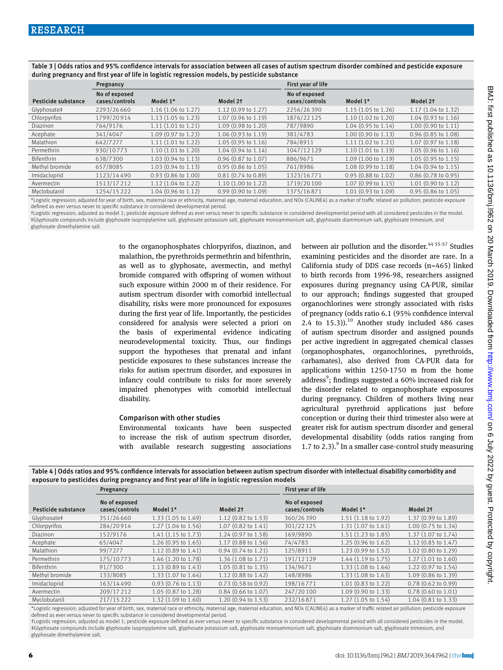Table 3 | Odds ratios and 95% confidence intervals for association between all cases of autism spectrum disorder combined and pesticide exposure during pregnancy and first year of life in logistic regression models, by pesticide substance

|                     | Pregnancy                       |                               |                               | First year of life              |                               |                               |
|---------------------|---------------------------------|-------------------------------|-------------------------------|---------------------------------|-------------------------------|-------------------------------|
| Pesticide substance | No of exposed<br>cases/controls | Model 1*                      | Model 2t                      | No of exposed<br>cases/controls | Model 1*                      | Model 2t                      |
| Glyphosate‡         | 2293/26660                      | 1.16 (1.06 to 1.27)           | 1.12 (0.99 to 1.27)           | 2256/26390                      | 1.15 (1.05 to 1.26)           | 1.17 (1.04 to 1.32)           |
| Chlorpyrifos        | 1799/20914                      | $1.13(1.05 \text{ to } 1.23)$ | 1.07 (0.96 to 1.19)           | 1876/22125                      | $1.10(1.02 \text{ to } 1.20)$ | $1.04(0.93 \text{ to } 1.16)$ |
| <b>Diazinon</b>     | 764/9176                        | 1.11(1.01 to 1.21)            | $1.09(0.98 \text{ to } 1.20)$ | 787/9890                        | $1.04$ (0.95 to 1.14)         | 1.00 (0.90 to 1.11)           |
| Acephate            | 341/4047                        | 1.09 (0.97 to 1.23)           | $1.06(0.93 \text{ to } 1.19)$ | 381/4783                        | 1.00 (0.90 to 1.13)           | $0.96$ (0.85 to 1.08)         |
| Malathion           | 642/7277                        | 1.11(1.01 to 1.22)            | $1.05(0.95 \text{ to } 1.16)$ | 784/8911                        | $1.11(1.02 \text{ to } 1.21)$ | 1.07 (0.97 to 1.18)           |
| Permethrin          | 930/10773                       | 1.10(1.01 to 1.20)            | $1.04(0.94 \text{ to } 1.14)$ | 1047/12129                      | 1.10(1.01 to 1.19)            | 1.05 (0.96 to 1.16)           |
| Bifenthrin          | 638/7300                        | $1.03(0.94 \text{ to } 1.13)$ | 0.96 (0.87 to 1.07)           | 886/9671                        | 1.09 (1.00 to 1.19)           | 1.05 (0.95 to 1.15)           |
| Methyl bromide      | 657/8085                        | $1.03(0.94 \text{ to } 1.13)$ | $0.95$ (0.86 to 1.05)         | 761/8986                        | 1.08 (0.99 to 1.18)           | 1.04 (0.94 to 1.15)           |
| Imidacloprid        | 1123/14490                      | $0.93(0.86 \text{ to } 1.00)$ | $0.81(0.74 \text{ to } 0.89)$ | 1323/16771                      | $0.95(0.88 \text{ to } 1.02)$ | $0.86$ (0.78 to 0.95)         |
| Avermectin          | 1513/17212                      | $1.12(1.04 \text{ to } 1.22)$ | 1.10(1.00 to 1.22)            | 1719/20100                      | $1.07(0.99 \text{ to } 1.15)$ | $1.01$ (0.90 to $1.12$ )      |
| Myclobutanil        | 1254/15222                      | 1.04 (0.96 to 1.12)           | $0.99$ (0.90 to 1.09)         | 1375/16871                      | $1.01(0.93 \text{ to } 1.09)$ | $0.95$ (0.86 to 1.05)         |
|                     |                                 |                               |                               |                                 |                               |                               |

\*Logistic regression; adjusted for year of birth, sex, maternal race or ethnicity, maternal age, maternal education, and NOx (CALINE4) as a marker of traffic related air pollution; pesticide exposure defined as ever versus never to specific substance in considered developmental period.

†Logistic regression; adjusted as model 1; pesticide exposure defined as ever versus never to specific substance in considered developmental period with all considered pesticides in the model. ‡Glyphosate compounds include glyphosate isopropylamine salt, glyphosate potassium salt, glyphosate monoammonium salt, glyphosate diammonium salt, glyphosate trimesium, and glyphosate dimethylamine salt.

> to the organophosphates chlorpyrifos, diazinon, and malathion, the pyrethroids permethrin and bifenthrin, as well as to glyphosate, avermectin, and methyl bromide compared with offspring of women without such exposure within 2000 m of their residence. For autism spectrum disorder with comorbid intellectual disability, risks were more pronounced for exposures during the first year of life. Importantly, the pesticides considered for analysis were selected a priori on the basis of experimental evidence indicating neurodevelopmental toxicity. Thus, our findings support the hypotheses that prenatal and infant pesticide exposures to these substances increase the risks for autism spectrum disorder, and exposures in infancy could contribute to risks for more severely impaired phenotypes with comorbid intellectual disability.

#### Comparison with other studies

Environmental toxicants have been suspected to increase the risk of autism spectrum disorder, with available research suggesting associations between air pollution and the disorder.<sup>44 55-57</sup> Studies examining pesticides and the disorder are rare. In a California study of DDS case records (n=465) linked to birth records from 1996-98, researchers assigned exposures during pregnancy using CA-PUR, similar to our approach; findings suggested that grouped organochlorines were strongly associated with risks of pregnancy (odds ratio 6.1 (95% confidence interval 2.4 to  $15.3$ )).<sup>10</sup> Another study included 486 cases of autism spectrum disorder and assigned pounds per active ingredient in aggregated chemical classes (organophosphates, organochlorines, pyrethroids, carbamates), also derived from CA-PUR data for applications within 1250-1750 m from the home address<sup>9</sup>; findings suggested a 60% increased risk for the disorder related to organophosphate exposures during pregnancy. Children of mothers living near agricultural pyrethroid applications just before conception or during their third trimester also were at greater risk for autism spectrum disorder and general developmental disability (odds ratios ranging from 1.7 to 2.3). $9$  In a smaller case-control study measuring

Table 4 | Odds ratios and 95% confidence intervals for association between autism spectrum disorder with intellectual disability comorbidity and exposure to pesticides during pregnancy and first year of life in logistic regression models

|                     | Pregnancy                       |                               |                               | First year of life              |                               |                               |
|---------------------|---------------------------------|-------------------------------|-------------------------------|---------------------------------|-------------------------------|-------------------------------|
| Pesticide substance | No of exposed<br>cases/controls | Model 1*                      | Model 2t                      | No of exposed<br>cases/controls | Model 1*                      | Model 2t                      |
| Glyphosate‡         | 351/26660                       | $1.33(1.05 \text{ to } 1.69)$ | $1.12$ (0.82 to 1.53)         | 360/26390                       | 1.51 (1.18 to 1.92)           | 1.37 (0.99 to 1.89)           |
| Chlorpyrifos        | 284/20914                       | $1.27$ (1.04 to 1.56)         | 1.07 (0.82 to 1.41)           | 301/22125                       | 1.31 (1.07 to 1.61)           | 1.00 (0.75 to 1.34)           |
| <b>Diazinon</b>     | 152/9176                        | $1.41(1.15 \text{ to } 1.73)$ | 1.24 (0.97 to 1.58)           | 169/9890                        | 1.51 (1.23 to 1.85)           | 1.37 (1.07 to 1.74)           |
| Acephate            | 65/4047                         | $1.26$ (0.95 to $1.65$ )      | 1.17 (0.88 to 1.56)           | 74/4783                         | $1.25(0.96 \text{ to } 1.62)$ | $1.12$ (0.85 to 1.47)         |
| Malathion           | 99/7277                         | $1.12$ (0.89 to $1.41$ )      | $0.94$ (0.74 to 1.21)         | 125/8911                        | $1.23(0.99 \text{ to } 1.52)$ | 1.02 (0.80 to 1.29)           |
| Permethrin          | 175/10773                       | 1.46 (1.20 to 1.78)           | 1.36 (1.08 to 1.71)           | 191/12129                       | 1.44 (1.19 to 1.75)           | $1.27$ (1.01 to 1.60)         |
| Bifenthrin          | 91/7300                         | 1.13 (0.89 to 1.43)           | $1.05(0.81 \text{ to } 1.35)$ | 134/9671                        | 1.33 (1.08 to 1.64)           | 1.22 (0.97 to 1.54)           |
| Methyl bromide      | 133/8085                        | 1.33 (1.07 to 1.64)           | 1.12 (0.88 to 1.42)           | 148/8986                        | 1.33(1.08 to 1.63)            | 1.09 (0.86 to 1.39)           |
| Imidacloprid        | 163/14490                       | $0.93(0.76 \text{ to } 1.13)$ | $0.73(0.58 \text{ to } 0.92)$ | 198/16771                       | 1.01 (0.83 to 1.22)           | $0.78(0.62 \text{ to } 0.99)$ |
| Avermectin          | 209/17212                       | 1.05 (0.87 to 1.28)           | $0.84$ (0.66 to 1.07)         | 247/20100                       | 1.09 (0.90 to 1.33)           | $0.78(0.60 \text{ to } 1.01)$ |
| Myclobutanil        | 217/15 222                      | 1.32 (1.09 to 1.60)           | 1.20 (0.94 to 1.53)           | 232/16871                       | 1.27 (1.05 to 1.54)           | 1.04 (0.81 to 1.33)           |

\*Logistic regression; adjusted for year of birth, sex, maternal race or ethnicity, maternal age, maternal education, and NOx (CALINE4) as a marker of traffic related air pollution; pesticide exposure defined as ever versus never to specific substance in considered developmental period.

†Logistic regression; adjusted as model 1; pesticide exposure defined as ever versus never to specific substance in considered developmental period with all considered pesticides in the model. ‡Glyphosate compounds include glyphosate isopropylamine salt, glyphosate potassium salt, glyphosate monoammonium salt, glyphosate diammonium salt, glyphosate trimesium, and glyphosate dimethylamine salt.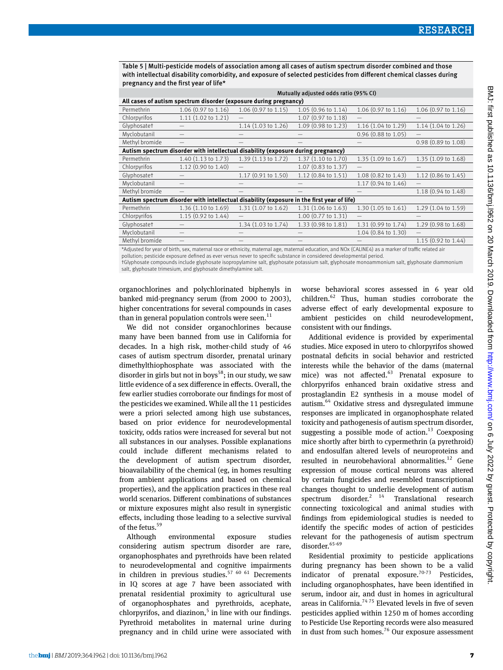Table 5 | Multi-pesticide models of association among all cases of autism spectrum disorder combined and those with intellectual disability comorbidity, and exposure of selected pesticides from different chemical classes during pregnancy and the first year of life\*

|                                                                                            | Mutually adjusted odds ratio (95% CI) |                           |                     |                       |                           |  |  |
|--------------------------------------------------------------------------------------------|---------------------------------------|---------------------------|---------------------|-----------------------|---------------------------|--|--|
| All cases of autism spectrum disorder (exposure during pregnancy)                          |                                       |                           |                     |                       |                           |  |  |
| Permethrin                                                                                 | 1.06 (0.97 to 1.16)                   | 1.06 (0.97 to 1.15)       | 1.05 (0.96 to 1.14) | 1.06 (0.97 to 1.16)   | 1.06 (0.97 to 1.16)       |  |  |
| Chlorpyrifos                                                                               | $1.11(1.02 \text{ to } 1.21)$         |                           | 1.07 (0.97 to 1.18) |                       |                           |  |  |
| Glyphosatet                                                                                |                                       | $1.14$ $(1.03$ to $1.26)$ | 1.09 (0.98 to 1.23) | 1.16 (1.04 to 1.29)   | $1.14$ $(1.04$ to $1.26)$ |  |  |
| Myclobutanil                                                                               |                                       |                           |                     | $0.96$ (0.88 to 1.05) |                           |  |  |
| Methyl bromide                                                                             |                                       |                           |                     |                       | 0.98 (0.89 to 1.08)       |  |  |
| Autism spectrum disorder with intellectual disability (exposure during pregnancy)          |                                       |                           |                     |                       |                           |  |  |
| Permethrin                                                                                 | 1.40 (1.13 to 1.73)                   | 1.39 (1.13 to 1.72)       | 1.37 (1.10 to 1.70) | 1.35 (1.09 to 1.67)   | 1.35 (1.09 to 1.68)       |  |  |
| Chlorpyrifos                                                                               | 1.12 (0.90 to 1.40)                   |                           | 1.07 (0.83 to 1.37) |                       |                           |  |  |
| Glyphosatet                                                                                |                                       | 1.17 (0.91 to 1.50)       | 1.12 (0.84 to 1.51) | 1.08 (0.82 to 1.43)   | 1.12 (0.86 to 1.45)       |  |  |
| Myclobutanil                                                                               |                                       |                           |                     | 1.17 (0.94 to 1.46)   |                           |  |  |
| Methyl bromide                                                                             |                                       |                           |                     |                       | 1.18 (0.94 to 1.48)       |  |  |
| Autism spectrum disorder with intellectual disability (exposure in the first year of life) |                                       |                           |                     |                       |                           |  |  |
| Permethrin                                                                                 | 1.36 (1.10 to 1.69)                   | 1.31 (1.07 to 1.62)       | 1.31 (1.06 to 1.63) | 1.30 (1.05 to 1.61)   | 1.29 (1.04 to 1.59)       |  |  |
| Chlorpyrifos                                                                               | 1.15 (0.92 to 1.44)                   |                           | 1.00 (0.77 to 1.31) |                       |                           |  |  |
| Glyphosatet                                                                                |                                       | 1.34 (1.03 to 1.74)       | 1.33 (0.98 to 1.81) | 1.31 (0.99 to 1.74)   | 1.29 (0.98 to 1.68)       |  |  |
| Myclobutanil                                                                               |                                       |                           |                     | 1.04 (0.84 to 1.30)   |                           |  |  |
| Methyl bromide                                                                             |                                       |                           |                     |                       | 1.15 (0.92 to 1.44)       |  |  |
| $1.1.1 - 1.1.1 - 1.1.1 - 1.1.1$                                                            |                                       |                           |                     |                       |                           |  |  |

\*Adjusted for year of birth, sex, maternal race or ethnicity, maternal age, maternal education, and NOx (CALINE4) as a marker of traffic related air

pollution; pesticide exposure defined as ever versus never to specific substance in considered developmental period.

†Glyphosate compounds include glyphosate isopropylamine salt, glyphosate potassium salt, glyphosate monoammonium salt, glyphosate diammonium salt, glyphosate trimesium, and glyphosate dimethylamine salt.

organochlorines and polychlorinated biphenyls in banked mid-pregnancy serum (from 2000 to 2003), higher concentrations for several compounds in cases than in general population controls were seen.<sup>11</sup>

We did not consider organochlorines because many have been banned from use in California for decades. In a high risk, mother-child study of 46 cases of autism spectrum disorder, prenatal urinary dimethylthiophosphate was associated with the disorder in girls but not in boys<sup>58</sup>; in our study, we saw little evidence of a sex difference in effects. Overall, the few earlier studies corroborate our findings for most of the pesticides we examined. While all the 11 pesticides were a priori selected among high use substances, based on prior evidence for neurodevelopmental toxicity, odds ratios were increased for several but not all substances in our analyses. Possible explanations could include different mechanisms related to the development of autism spectrum disorder, bioavailability of the chemical (eg, in homes resulting from ambient applications and based on chemical properties), and the application practices in these real world scenarios. Different combinations of substances or mixture exposures might also result in synergistic effects, including those leading to a selective survival of the fetus.<sup>59</sup>

Although environmental exposure studies considering autism spectrum disorder are rare, organophosphates and pyrethroids have been related to neurodevelopmental and cognitive impairments in children in previous studies.<sup>57 60 61</sup> Decrements in IQ scores at age 7 have been associated with prenatal residential proximity to agricultural use of organophosphates and pyrethroids, acephate, chlorpyrifos, and diazinon, $5$  in line with our findings. Pyrethroid metabolites in maternal urine during pregnancy and in child urine were associated with

worse behavioral scores assessed in 6 year old children.62 Thus, human studies corroborate the adverse effect of early developmental exposure to ambient pesticides on child neurodevelopment, consistent with our findings.

Additional evidence is provided by experimental studies. Mice exposed in utero to chlorpyrifos showed postnatal deficits in social behavior and restricted interests while the behavior of the dams (maternal mice) was not affected.<sup>63</sup> Prenatal exposure to chlorpyrifos enhanced brain oxidative stress and prostaglandin E2 synthesis in a mouse model of autism.64 Oxidative stress and dysregulated immune responses are implicated in organophosphate related toxicity and pathogenesis of autism spectrum disorder, suggesting a possible mode of action. $13$  Coexposing mice shortly after birth to cypermethrin (a pyrethroid) and endosulfan altered levels of neuroproteins and resulted in neurobehavioral abnormalities.<sup>12</sup> Gene expression of mouse cortical neurons was altered by certain fungicides and resembled transcriptional changes thought to underlie development of autism spectrum disorder.<sup>2</sup> <sup>14</sup> Translational research connecting toxicological and animal studies with findings from epidemiological studies is needed to identify the specific modes of action of pesticides relevant for the pathogenesis of autism spectrum disorder.<sup>65-69</sup>

Residential proximity to pesticide applications during pregnancy has been shown to be a valid indicator of prenatal exposure.<sup>70-73</sup> Pesticides, including organophosphates, have been identified in serum, indoor air, and dust in homes in agricultural areas in California.<sup>7475</sup> Elevated levels in five of seven pesticides applied within 1250 m of homes according to Pesticide Use Reporting records were also measured in dust from such homes.<sup>76</sup> Our exposure assessment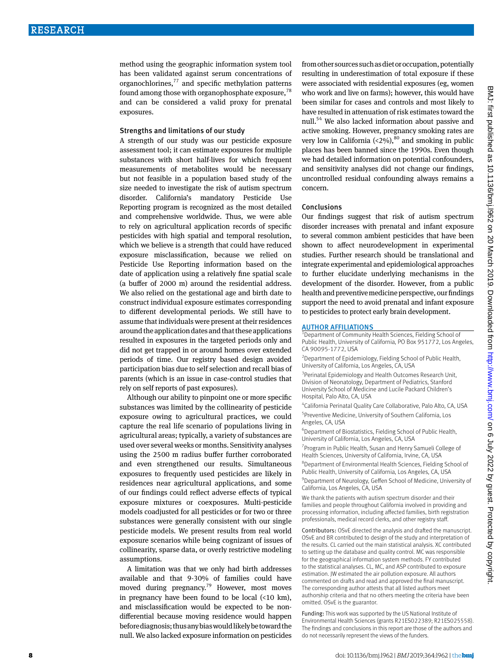method using the geographic information system tool has been validated against serum concentrations of organochlorines, $^{77}$  and specific methylation patterns found among those with organophosphate exposure,  $78$ and can be considered a valid proxy for prenatal exposures.

#### Strengths and limitations of our study

A strength of our study was our pesticide exposure assessment tool; it can estimate exposures for multiple substances with short half-lives for which frequent measurements of metabolites would be necessary but not feasible in a population based study of the size needed to investigate the risk of autism spectrum disorder. California's mandatory Pesticide Use Reporting program is recognized as the most detailed and comprehensive worldwide. Thus, we were able to rely on agricultural application records of specific pesticides with high spatial and temporal resolution, which we believe is a strength that could have reduced exposure misclassification, because we relied on Pesticide Use Reporting information based on the date of application using a relatively fine spatial scale (a buffer of 2000 m) around the residential address. We also relied on the gestational age and birth date to construct individual exposure estimates corresponding to different developmental periods. We still have to assume that individuals were present at their residences around the application dates and that these applications resulted in exposures in the targeted periods only and did not get trapped in or around homes over extended periods of time. Our registry based design avoided participation bias due to self selection and recall bias of parents (which is an issue in case-control studies that rely on self reports of past exposures).

Although our ability to pinpoint one or more specific substances was limited by the collinearity of pesticide exposure owing to agricultural practices, we could capture the real life scenario of populations living in agricultural areas; typically, a variety of substances are used over several weeks or months. Sensitivity analyses using the 2500 m radius buffer further corroborated and even strengthened our results. Simultaneous exposures to frequently used pesticides are likely in residences near agricultural applications, and some of our findings could reflect adverse effects of typical exposure mixtures or coexposures. Multi-pesticide models coadjusted for all pesticides or for two or three substances were generally consistent with our single pesticide models. We present results from real world exposure scenarios while being cognizant of issues of collinearity, sparse data, or overly restrictive modeling assumptions.

A limitation was that we only had birth addresses available and that 9-30% of families could have moved during pregnancy.<sup>79</sup> However, most moves in pregnancy have been found to be local (<10 km), and misclassification would be expected to be nondifferential because moving residence would happen before diagnosis; thus any bias would likely be toward the null. We also lacked exposure information on pesticides

from other sources such as diet or occupation, potentially resulting in underestimation of total exposure if these were associated with residential exposures (eg, women who work and live on farms); however, this would have been similar for cases and controls and most likely to have resulted in attenuation of risk estimates toward the null.<sup>54</sup> We also lacked information about passive and active smoking. However, pregnancy smoking rates are very low in California  $\left( <2\% \right)$ ,  $^{80}$  and smoking in public places has been banned since the 1990s. Even though we had detailed information on potential confounders, and sensitivity analyses did not change our findings, uncontrolled residual confounding always remains a concern.

#### Conclusions

Our findings suggest that risk of autism spectrum disorder increases with prenatal and infant exposure to several common ambient pesticides that have been shown to affect neurodevelopment in experimental studies. Further research should be translational and integrate experimental and epidemiological approaches to further elucidate underlying mechanisms in the development of the disorder. However, from a public health and preventive medicine perspective, our findings support the need to avoid prenatal and infant exposure to pesticides to protect early brain development.

# **AUTHOR AFFILIATIONS**

Department of Community Health Sciences, Fielding School of Public Health, University of California, PO Box 951772, Los Angeles, CA 90095-1772, USA

<sup>2</sup> Department of Epidemiology, Fielding School of Public Health, University of California, Los Angeles, CA, USA

<sup>3</sup> Perinatal Epidemiology and Health Outcomes Research Unit, Division of Neonatology, Department of Pediatrics, Stanford University School of Medicine and Lucile Packard Children's Hospital, Palo Alto, CA, USA

4 California Perinatal Quality Care Collaborative, Palo Alto, CA, USA 5 Preventive Medicine, University of Southern California, Los Angeles, CA, USA

6 Department of Biostatistics, Fielding School of Public Health, University of California, Los Angeles, CA, USA

<sup>7</sup> Program in Public Health, Susan and Henry Samueli College of Health Sciences, University of California, Irvine, CA, USA

8 Department of Environmental Health Sciences, Fielding School of Public Health, University of California, Los Angeles, CA, USA

<sup>9</sup> Department of Neurology, Geffen School of Medicine, University of California, Los Angeles, CA, USA

We thank the patients with autism spectrum disorder and their families and people throughout California involved in providing and processing information, including affected families, birth registration professionals, medical record clerks, and other registry staff.

Contributors: OSvE directed the analysis and drafted the manuscript. OSvE and BR contributed to design of the study and interpretation of the results. CL carried out the main statistical analysis. XC contributed to setting up the database and quality control. MC was responsible for the geographical information system methods. FY contributed to the statistical analyses. CL, MC, and ASP contributed to exposure estimation. JW estimated the air pollution exposure. All authors commented on drafts and read and approved the final manuscript. The corresponding author attests that all listed authors meet authorship criteria and that no others meeting the criteria have been omitted. OSvE is the guarantor.

Funding: This work was supported by the US National Institute of Environmental Health Sciences (grants R21ES022389; R21ES025558). The findings and conclusions in this report are those of the authors and do not necessarily represent the views of the funders.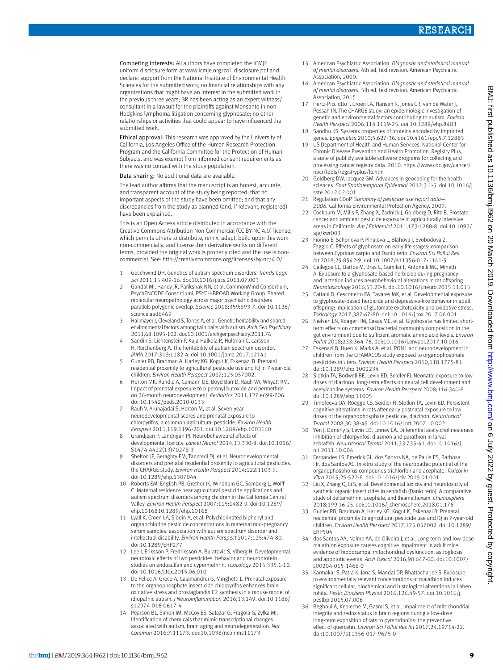Competing interests: All authors have completed the ICMJE uniform disclosure form at www.icmje.org/coi\_disclosure.pdf and declare: support from the National Institute of Environmental Health Sciences for the submitted work; no financial relationships with any organizations that might have an interest in the submitted work in the previous three years; BR has been acting as an expert witness/ consultant in a lawsuit for the plaintiffs against Monsanto in non-Hodgkins lymphoma litigation concerning glyphosate; no other relationships or activities that could appear to have influenced the submitted work.

Ethical approval: This research was approved by the University of California, Los Angeles Office of the Human Research Protection Program and the California Committee for the Protection of Human Subjects, and was exempt from informed consent requirements as there was no contact with the study population.

#### Data sharing: No additional data are available.

The lead author affirms that the manuscript is an honest, accurate, and transparent account of the study being reported; that no important aspects of the study have been omitted; and that any discrepancies from the study as planned (and, if relevant, registered) have been explained.

This is an Open Access article distributed in accordance with the Creative Commons Attribution Non Commercial (CC BY-NC 4.0) license, which permits others to distribute, remix, adapt, build upon this work non-commercially, and license their derivative works on different terms, provided the original work is properly cited and the use is noncommercial. See: [http://creativecommons.org/licenses/by-nc/4.0/.](http://creativecommons.org/licenses/by-nc/4.0/)

- 1 Geschwind DH. Genetics of autism spectrum disorders. *Trends Cogn Sci* 2011;15:409-16. doi:10.1016/j.tics.2011.07.003
- 2 Gandal MJ, Haney JR, Parikshak NN, et al, CommonMind Consortium, PsychENCODE Consortiumi, PSYCH-BROAD Working Group. Shared molecular neuropathology across major psychiatric disorders parallels polygenic overlap. *Science* 2018;359:693-7. doi:10.1126/ science.aad6469
- 3 Hallmayer J, Cleveland S, Torres A, et al. Genetic heritability and shared environmental factors among twin pairs with autism. *Arch Gen Psychiatry*  2011;68:1095-102. doi:10.1001/archgenpsychiatry.2011.76
- 4 Sandin S, Lichtenstein P, Kuja-Halkola R, Hultman C, Larsson H, Reichenberg A. The heritability of autism spectrum disorder. *JAMA* 2017;318:1182-4. doi:10.1001/jama.2017.12141
- 5 Gunier RB, Bradman A, Harley KG, Kogut K, Eskenazi B. Prenatal residential proximity to agricultural pesticide use and IQ in 7-year-old children. *Environ Health Perspect* 2017;125:057002.
- 6 Horton MK, Rundle A, Camann DE, Boyd Barr D, Rauh VA, Whyatt RM. Impact of prenatal exposure to piperonyl butoxide and permethrin on 36-month neurodevelopment. *Pediatrics* 2011;127:e699-706. doi:10.1542/peds.2010-0133
- Rauh V, Arunajadai S, Horton M, et al. Seven-year neurodevelopmental scores and prenatal exposure to chlorpyrifos, a common agricultural pesticide. *Environ Health Perspect* 2011;119:1196-201. doi:10.1289/ehp.1003160
- 8 Grandjean P, Landrigan PJ. Neurobehavioural effects of developmental toxicity. *Lancet Neurol* 2014;13:330-8. doi:10.1016/ S1474-4422(13)70278-3
- 9 Shelton JF, Geraghty EM, Tancredi DJ, et al. Neurodevelopmental disorders and prenatal residential proximity to agricultural pesticides: the CHARGE study. *Environ Health Perspect* 2014;122:1103-9. doi:10.1289/ehp.1307044
- 10 Roberts EM, English PB, Grether JK, Windham GC, Somberg L, Wolff C. Maternal residence near agricultural pesticide applications and autism spectrum disorders among children in the California Central Valley. *Environ Health Perspect* 2007;115:1482-9. doi:10.1289/ ehp.1016810.1289/ehp.10168
- 11 Lyall K, Croen LA, Sjödin A, et al. Polychlorinated biphenyl and organochlorine pesticide concentrations in maternal mid-pregnancy serum samples: association with autism spectrum disorder and intellectual disability. *Environ Health Perspect* 2017;125:474-80. doi:10.1289/EHP277
- 12 Lee I, Eriksson P, Fredriksson A, Buratovic S, Viberg H. Developmental neurotoxic effects of two pesticides: behavior and neuroprotein studies on endosulfan and cypermethrin. *Toxicology* 2015;335:1-10. doi:10.1016/j.tox.2015.06.010
- 13 De Felice A, Greco A, Calamandrei G, Minghetti L. Prenatal exposure to the organophosphate insecticide chlorpyrifos enhances brain oxidative stress and prostaglandin E2 synthesis in a mouse model of idiopathic autism. *J Neuroinflammation* 2016;13:149. doi:10.1186/ s12974-016-0617-4
- 14 Pearson BL, Simon JM, McCoy ES, Salazar G, Fragola G, Zylka MJ. Identification of chemicals that mimic transcriptional changes associated with autism, brain aging and neurodegeneration. *Nat Commun* 2016;7:11173. doi:10.1038/ncomms11173
- 15 American Psychiatric Association. *Diagnostic and statistical manual of mental disorders.* 4th ed, text revision. American Psychiatric Association, 2000.
- 16 American Psychiatric Association. *Diagnostic and statistical manual of mental disorders.* 5th ed, text revision. American Psychiatric Association, 2015.
- 17 Hertz-Picciotto I, Croen LA, Hansen R, Jones CR, van de Water J, Pessah IN. The CHARGE study: an epidemiologic investigation of genetic and environmental factors contributing to autism. *Environ Health Perspect* 2006;114:1119-25. doi:10.1289/ehp.8483
- 18 Sandhu KS. Systems properties of proteins encoded by imprinted genes. *Epigenetics* 2010;5:627-36. doi:10.4161/epi.5.7.12883
- 19 US Department of Health and Human Services, National Center for Chronic Disease Prevention and Health Promotion. Registry Plus, a suite of publicly available software programs for collecting and processing cancer registry data. 2010. [https://www.cdc.gov/cancer/](https://www.cdc.gov/cancer/npcr/tools/registryplus/lp.htm) [npcr/tools/registryplus/lp.htm](https://www.cdc.gov/cancer/npcr/tools/registryplus/lp.htm)
- 20 Goldberg DW, Jacquez GM. Advances in geocoding for the health sciences. *Spat Spatiotemporal Epidemiol* 2012;3:1-5. doi:10.1016/j. sste.2012.02.001
- 21 Regulation CDoP. *Summary of pesticide use report data— 2008.* California Environmental Protection Agency, 2009.
- 22 Cockburn M, Mills P, Zhang X, Zadnick J, Goldberg D, Ritz B. Prostate cancer and ambient pesticide exposure in agriculturally intensive areas in California. *Am J Epidemiol* 2011;173:1280-8. doi:10.1093/ aje/kwr003
- 23 Fiorino E, Sehonova P, Plhalova L, Blahova J, Svobodova Z, Faggio C. Effects of glyphosate on early life stages: comparison between Cyprinus carpio and Danio rerio. *Environ Sci Pollut Res Int* 2018;25:8542-9. doi:10.1007/s11356-017-1141-5
- 24 Gallegos CE, Bartos M, Bras C, Gumilar F, Antonelli MC, Minetti A. Exposure to a glyphosate-based herbicide during pregnancy and lactation induces neurobehavioral alterations in rat offspring. *Neurotoxicology* 2016;53:20-8. doi:10.1016/j.neuro.2015.11.015
- 25 Cattani D, Cesconetto PA, Tavares MK, et al. Developmental exposure to glyphosate-based herbicide and depressive-like behavior in adult offspring: Implication of glutamate excitotoxicity and oxidative stress. *Toxicology* 2017;387:67-80. doi:10.1016/j.tox.2017.06.001
- 26 Nielsen LN, Roager HM, Casas ME, et al. Glyphosate has limited shortterm effects on commensal bacterial community composition in the gut environment due to sufficient aromatic amino acid levels. *Environ Pollut* 2018;233:364-76. doi:10.1016/j.envpol.2017.10.016
- Eskenazi B, Huen K, Marks A, et al. PON1 and neurodevelopment in children from the CHAMACOS study exposed to organophosphate pesticides in utero. *Environ Health Perspect* 2010;118:1775-81. doi:10.1289/ehp.1002234
- 28 Slotkin TA, Bodwell BE, Levin ED, Seidler FJ. Neonatal exposure to low doses of diazinon: long-term effects on neural cell development and acetylcholine systems. *Environ Health Perspect* 2008;116:340-8. doi:10.1289/ehp.11005
- 29 Timofeeva OA, Roegge CS, Seidler FJ, Slotkin TA, Levin ED. Persistent cognitive alterations in rats after early postnatal exposure to low doses of the organophosphate pesticide, diazinon. *Neurotoxicol Teratol* 2008;30:38-45. doi:10.1016/j.ntt.2007.10.002
- 30 Yen J, Donerly S, Levin ED, Linney EA. Differential acetylcholinesterase inhibition of chlorpyrifos, diazinon and parathion in larval zebrafish. *Neurotoxicol Teratol* 2011;33:735-41. doi:10.1016/j. ntt.2011.10.004
- 31 Fernandes LS, Emerick GL, dos Santos NA, de Paula ES, Barbosa FJr, dos Santos AC. In vitro study of the neuropathic potential of the organophosphorus compounds trichlorfon and acephate. *Toxicol In Vitro* 2015;29:522-8. doi:10.1016/j.tiv.2015.01.001
- 32 Liu X, Zhang Q, Li S, et al. Developmental toxicity and neurotoxicity of synthetic organic insecticides in zebrafish (Danio rerio): A comparative study of deltamethrin, acephate, and thiamethoxam. *Chemosphere*  2018;199:16-25. doi:10.1016/j.chemosphere.2018.01.176
- 33 Gunier RB, Bradman A, Harley KG, Kogut K, Eskenazi B. Prenatal residential proximity to agricultural pesticide use and IQ in 7-year-old children. *Environ Health Perspect* 2017;125:057002. doi:10.1289/ EHP504
- 34 dos Santos AA, Naime AA, de Oliveira J, et al. Long-term and low-dose malathion exposure causes cognitive impairment in adult mice: evidence of hippocampal mitochondrial dysfunction, astrogliosis and apoptotic events. *Arch Toxicol* 2016;90:647-60. doi:10.1007/ s00204-015-1466-0
- 35 Karmakar S, Patra K, Jana S, Mandal DP, Bhattacharjee S. Exposure to environmentally relevant concentrations of malathion induces significant cellular, biochemical and histological alterations in Labeo rohita. *Pestic Biochem Physiol* 2016;126:49-57. doi:10.1016/j. pestbp.2015.07.006
- 36 Beghoul A, Kebieche M, Gasmi S, et al. Impairment of mitochondrial integrity and redox status in brain regions during a low-dose long-term exposition of rats to pyrethrinoïds: the preventive effect of quercetin. *Environ Sci Pollut Res Int* 2017;24:19714-22. doi:10.1007/s11356-017-9675-0